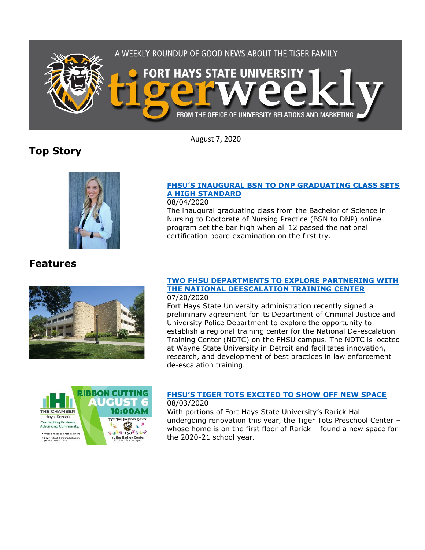

August 7, 2020

# **Top Story**



### **FHSU'S [INAUGURAL BSN TO DNP GRADUATING CLASS SETS](https://www.fhsu.edu/news/2020/08/fhsus-inaugural-bsn-to-dnp-graduating-class-sets-a-high-standard)  [A HIGH STANDARD](https://www.fhsu.edu/news/2020/08/fhsus-inaugural-bsn-to-dnp-graduating-class-sets-a-high-standard)**

08/04/2020

The inaugural graduating class from the Bachelor of Science in Nursing to Doctorate of Nursing Practice (BSN to DNP) online program set the bar high when all 12 passed the national certification board examination on the first try.

## **Features**



#### **[TWO FHSU DEPARTMENTS TO EXPLORE PARTNERING WITH](https://www.fhsu.edu/news/2020/07/two-fhsu-departments-to-explore-partnering-with-the-national-de-escalation-training-center)  [THE NATIONAL DEESCALATION TRAINING CENTER](https://www.fhsu.edu/news/2020/07/two-fhsu-departments-to-explore-partnering-with-the-national-de-escalation-training-center)** 07/20/2020

Fort Hays State University administration recently signed a preliminary agreement for its Department of Criminal Justice and University Police Department to explore the opportunity to establish a regional training center for the National De-escalation Training Center (NDTC) on the FHSU campus. The NDTC is located at Wayne State University in Detroit and facilitates innovation, research, and development of best practices in law enforcement de-escalation training.



### **FHSU['S TIGER TOTS EXCITED TO SHOW OFF](https://www.fhsu.edu/news/2020/08/fhsus-tiger-tots-excited-to-show-off-new-space) NEW SPACE** 08/03/2020

With portions of Fort Hays State University's Rarick Hall undergoing renovation this year, the Tiger Tots Preschool Center – whose home is on the first floor of Rarick – found a new space for the 2020-21 school year.